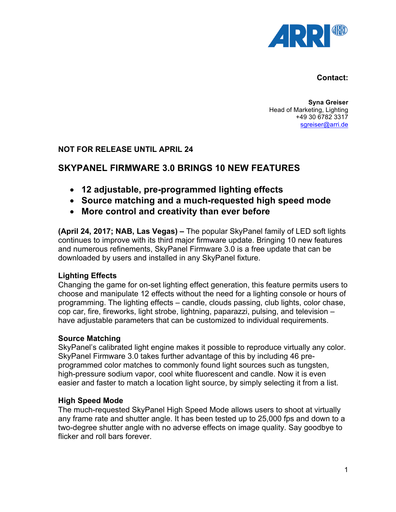

#### **Contact:**

**Syna Greiser** Head of Marketing, Lighting +49 30 6782 3317 sgreiser@arri.de

# **NOT FOR RELEASE UNTIL APRIL 24**

# **SKYPANEL FIRMWARE 3.0 BRINGS 10 NEW FEATURES**

- **12 adjustable, pre-programmed lighting effects**
- **Source matching and a much-requested high speed mode**
- **More control and creativity than ever before**

**(April 24, 2017; NAB, Las Vegas) –** The popular SkyPanel family of LED soft lights continues to improve with its third major firmware update. Bringing 10 new features and numerous refinements, SkyPanel Firmware 3.0 is a free update that can be downloaded by users and installed in any SkyPanel fixture.

# **Lighting Effects**

Changing the game for on-set lighting effect generation, this feature permits users to choose and manipulate 12 effects without the need for a lighting console or hours of programming. The lighting effects – candle, clouds passing, club lights, color chase, cop car, fire, fireworks, light strobe, lightning, paparazzi, pulsing, and television – have adjustable parameters that can be customized to individual requirements.

# **Source Matching**

SkyPanel's calibrated light engine makes it possible to reproduce virtually any color. SkyPanel Firmware 3.0 takes further advantage of this by including 46 preprogrammed color matches to commonly found light sources such as tungsten, high-pressure sodium vapor, cool white fluorescent and candle. Now it is even easier and faster to match a location light source, by simply selecting it from a list.

# **High Speed Mode**

The much-requested SkyPanel High Speed Mode allows users to shoot at virtually any frame rate and shutter angle. It has been tested up to 25,000 fps and down to a two-degree shutter angle with no adverse effects on image quality. Say goodbye to flicker and roll bars forever.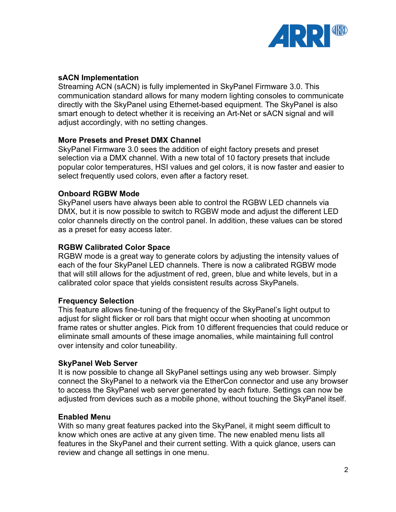

# **sACN Implementation**

Streaming ACN (sACN) is fully implemented in SkyPanel Firmware 3.0. This communication standard allows for many modern lighting consoles to communicate directly with the SkyPanel using Ethernet-based equipment. The SkyPanel is also smart enough to detect whether it is receiving an Art-Net or sACN signal and will adjust accordingly, with no setting changes.

# **More Presets and Preset DMX Channel**

SkyPanel Firmware 3.0 sees the addition of eight factory presets and preset selection via a DMX channel. With a new total of 10 factory presets that include popular color temperatures, HSI values and gel colors, it is now faster and easier to select frequently used colors, even after a factory reset.

# **Onboard RGBW Mode**

SkyPanel users have always been able to control the RGBW LED channels via DMX, but it is now possible to switch to RGBW mode and adjust the different LED color channels directly on the control panel. In addition, these values can be stored as a preset for easy access later.

# **RGBW Calibrated Color Space**

RGBW mode is a great way to generate colors by adjusting the intensity values of each of the four SkyPanel LED channels. There is now a calibrated RGBW mode that will still allows for the adjustment of red, green, blue and white levels, but in a calibrated color space that yields consistent results across SkyPanels.

# **Frequency Selection**

This feature allows fine-tuning of the frequency of the SkyPanel's light output to adjust for slight flicker or roll bars that might occur when shooting at uncommon frame rates or shutter angles. Pick from 10 different frequencies that could reduce or eliminate small amounts of these image anomalies, while maintaining full control over intensity and color tuneability.

# **SkyPanel Web Server**

It is now possible to change all SkyPanel settings using any web browser. Simply connect the SkyPanel to a network via the EtherCon connector and use any browser to access the SkyPanel web server generated by each fixture. Settings can now be adjusted from devices such as a mobile phone, without touching the SkyPanel itself.

# **Enabled Menu**

With so many great features packed into the SkyPanel, it might seem difficult to know which ones are active at any given time. The new enabled menu lists all features in the SkyPanel and their current setting. With a quick glance, users can review and change all settings in one menu.